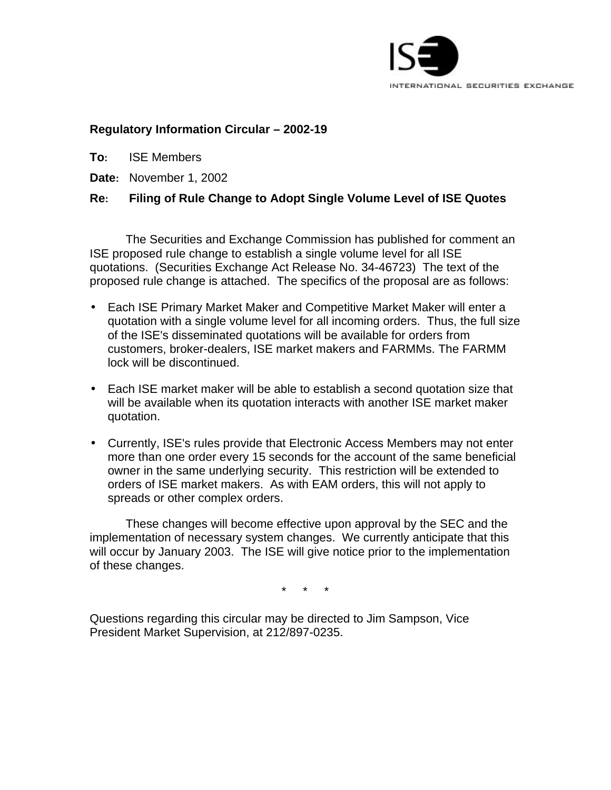

### **Regulatory Information Circular – 2002-19**

**To:** ISE Members

**Date:** November 1, 2002

# **Re: Filing of Rule Change to Adopt Single Volume Level of ISE Quotes**

The Securities and Exchange Commission has published for comment an ISE proposed rule change to establish a single volume level for all ISE quotations. (Securities Exchange Act Release No. 34-46723) The text of the proposed rule change is attached. The specifics of the proposal are as follows:

- Each ISE Primary Market Maker and Competitive Market Maker will enter a quotation with a single volume level for all incoming orders. Thus, the full size of the ISE's disseminated quotations will be available for orders from customers, broker-dealers, ISE market makers and FARMMs. The FARMM lock will be discontinued.
- Each ISE market maker will be able to establish a second quotation size that will be available when its quotation interacts with another ISE market maker quotation.
- Currently, ISE's rules provide that Electronic Access Members may not enter more than one order every 15 seconds for the account of the same beneficial owner in the same underlying security. This restriction will be extended to orders of ISE market makers. As with EAM orders, this will not apply to spreads or other complex orders.

These changes will become effective upon approval by the SEC and the implementation of necessary system changes. We currently anticipate that this will occur by January 2003. The ISE will give notice prior to the implementation of these changes.

\* \* \*

Questions regarding this circular may be directed to Jim Sampson, Vice President Market Supervision, at 212/897-0235.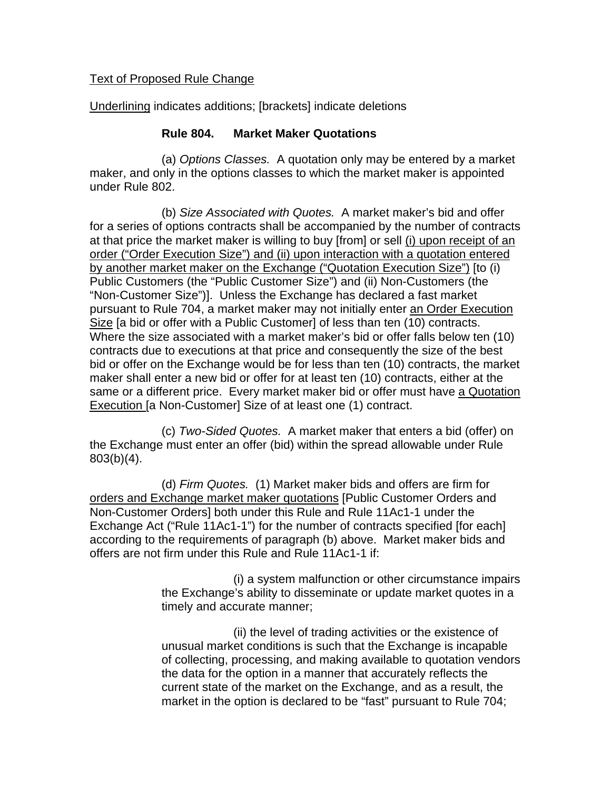### Text of Proposed Rule Change

Underlining indicates additions; [brackets] indicate deletions

### **Rule 804. Market Maker Quotations**

(a) *Options Classes.* A quotation only may be entered by a market maker, and only in the options classes to which the market maker is appointed under Rule 802.

(b) *Size Associated with Quotes.* A market maker's bid and offer for a series of options contracts shall be accompanied by the number of contracts at that price the market maker is willing to buy [from] or sell (i) upon receipt of an order ("Order Execution Size") and (ii) upon interaction with a quotation entered by another market maker on the Exchange ("Quotation Execution Size") [to (i) Public Customers (the "Public Customer Size") and (ii) Non-Customers (the "Non-Customer Size")]. Unless the Exchange has declared a fast market pursuant to Rule 704, a market maker may not initially enter an Order Execution Size [a bid or offer with a Public Customer] of less than ten (10) contracts. Where the size associated with a market maker's bid or offer falls below ten (10) contracts due to executions at that price and consequently the size of the best bid or offer on the Exchange would be for less than ten (10) contracts, the market maker shall enter a new bid or offer for at least ten (10) contracts, either at the same or a different price. Every market maker bid or offer must have a Quotation Execution [a Non-Customer] Size of at least one (1) contract.

(c) *Two-Sided Quotes.* A market maker that enters a bid (offer) on the Exchange must enter an offer (bid) within the spread allowable under Rule 803(b)(4).

(d) *Firm Quotes.* (1) Market maker bids and offers are firm for orders and Exchange market maker quotations [Public Customer Orders and Non-Customer Orders] both under this Rule and Rule 11Ac1-1 under the Exchange Act ("Rule 11Ac1-1") for the number of contracts specified [for each] according to the requirements of paragraph (b) above. Market maker bids and offers are not firm under this Rule and Rule 11Ac1-1 if:

> (i) a system malfunction or other circumstance impairs the Exchange's ability to disseminate or update market quotes in a timely and accurate manner;

> (ii) the level of trading activities or the existence of unusual market conditions is such that the Exchange is incapable of collecting, processing, and making available to quotation vendors the data for the option in a manner that accurately reflects the current state of the market on the Exchange, and as a result, the market in the option is declared to be "fast" pursuant to Rule 704;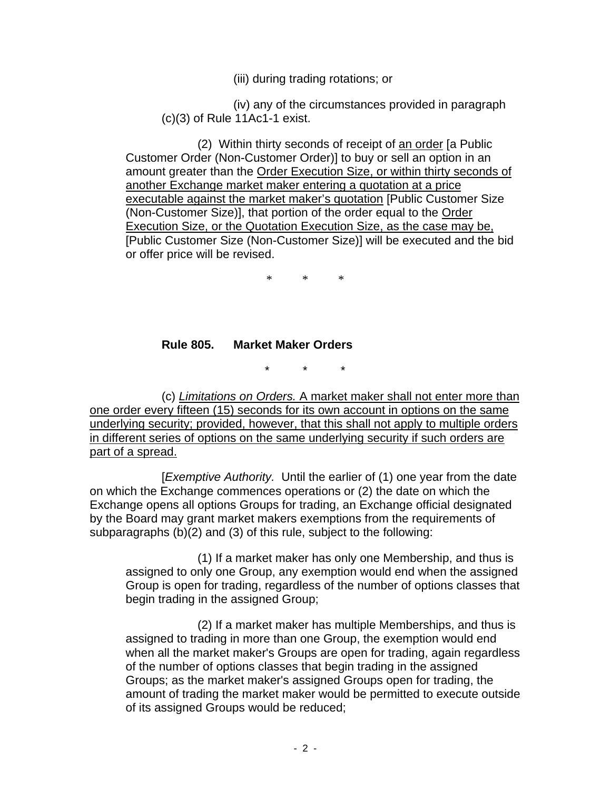(iii) during trading rotations; or

(iv) any of the circumstances provided in paragraph (c)(3) of Rule 11Ac1-1 exist.

(2) Within thirty seconds of receipt of an order [a Public Customer Order (Non-Customer Order)] to buy or sell an option in an amount greater than the Order Execution Size, or within thirty seconds of another Exchange market maker entering a quotation at a price executable against the market maker's quotation [Public Customer Size (Non-Customer Size)], that portion of the order equal to the Order Execution Size, or the Quotation Execution Size, as the case may be, [Public Customer Size (Non-Customer Size)] will be executed and the bid or offer price will be revised.

\* \* \*

# **Rule 805. Market Maker Orders**

 $\star$ 

(c) *Limitations on Orders.* A market maker shall not enter more than one order every fifteen (15) seconds for its own account in options on the same underlying security; provided, however, that this shall not apply to multiple orders in different series of options on the same underlying security if such orders are part of a spread.

[*Exemptive Authority.* Until the earlier of (1) one year from the date on which the Exchange commences operations or (2) the date on which the Exchange opens all options Groups for trading, an Exchange official designated by the Board may grant market makers exemptions from the requirements of subparagraphs (b)(2) and (3) of this rule, subject to the following:

(1) If a market maker has only one Membership, and thus is assigned to only one Group, any exemption would end when the assigned Group is open for trading, regardless of the number of options classes that begin trading in the assigned Group;

(2) If a market maker has multiple Memberships, and thus is assigned to trading in more than one Group, the exemption would end when all the market maker's Groups are open for trading, again regardless of the number of options classes that begin trading in the assigned Groups; as the market maker's assigned Groups open for trading, the amount of trading the market maker would be permitted to execute outside of its assigned Groups would be reduced;